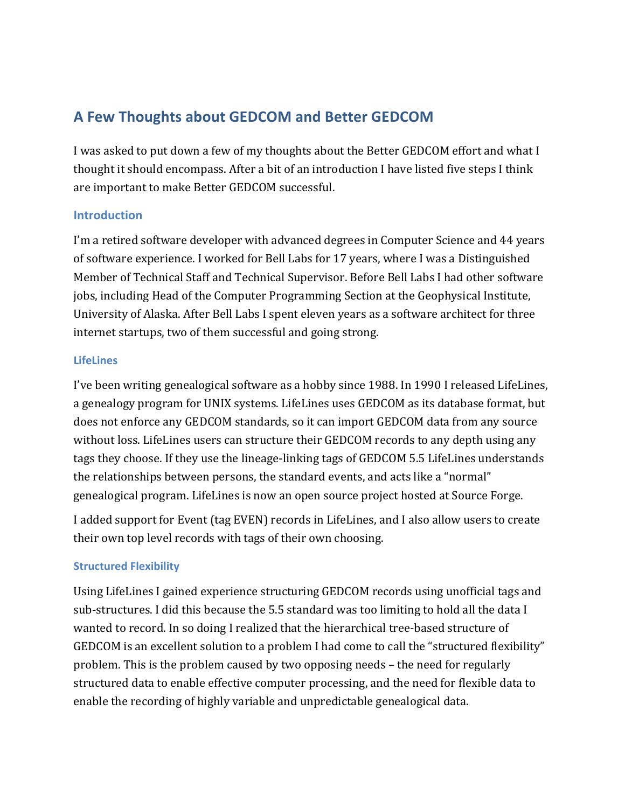# **A Few Thoughts about GEDCOM and Better GEDCOM**

I was asked to put down a few of my thoughts about the Better GEDCOM effort and what I thought it should encompass. After a bit of an introduction I have listed five steps I think are important to make Better GEDCOM successful.

# **Introduction**

I'm a retired software developer with advanced degrees in Computer Science and 44 years of software experience. I worked for Bell Labs for 17 years, where I was a Distinguished Member of Technical Staff and Technical Supervisor. Before Bell Labs I had other software jobs, including Head of the Computer Programming Section at the Geophysical Institute, University of Alaska. After Bell Labs I spent eleven years as a software architect for three internet startups, two of them successful and going strong.

# **LifeLines**

I've been writing genealogical software as a hobby since 1988. In 1990 I released LifeLines, a genealogy program for UNIX systems. LifeLines uses GEDCOM as its database format, but does not enforce any GEDCOM standards, so it can import GEDCOM data from any source without loss. LifeLines users can structure their GEDCOM records to any depth using any tags they choose. If they use the lineage-linking tags of GEDCOM 5.5 LifeLines understands the relationships between persons, the standard events, and acts like a "normal" genealogical program. LifeLines is now an open source project hosted at Source Forge.

I added support for Event (tag EVEN) records in LifeLines, and I also allow users to create their own top level records with tags of their own choosing.

# **Structured Flexibility**

Using LifeLines I gained experience structuring GEDCOM records using unofficial tags and sub-structures. I did this because the 5.5 standard was too limiting to hold all the data I wanted to record. In so doing I realized that the hierarchical tree-based structure of GEDCOM is an excellent solution to a problem I had come to call the "structured flexibility" problem. This is the problem caused by two opposing needs – the need for regularly structured data to enable effective computer processing, and the need for flexible data to enable the recording of highly variable and unpredictable genealogical data.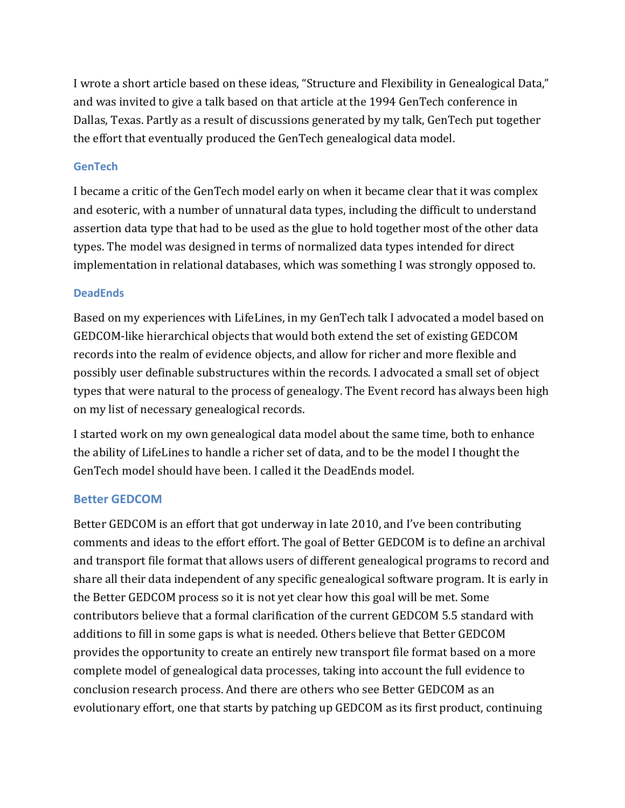I wrote a short article based on these ideas, "Structure and Flexibility in Genealogical Data," and was invited to give a talk based on that article at the 1994 GenTech conference in Dallas, Texas. Partly as a result of discussions generated by my talk, GenTech put together the effort that eventually produced the GenTech genealogical data model.

### **GenTech**

I became a critic of the GenTech model early on when it became clear that it was complex and esoteric, with a number of unnatural data types, including the difficult to understand assertion data type that had to be used as the glue to hold together most of the other data types. The model was designed in terms of normalized data types intended for direct implementation in relational databases, which was something I was strongly opposed to.

#### **DeadEnds**

Based on my experiences with LifeLines, in my GenTech talk I advocated a model based on GEDCOM-like hierarchical objects that would both extend the set of existing GEDCOM records into the realm of evidence objects, and allow for richer and more flexible and possibly user definable substructures within the records. I advocated a small set of object types that were natural to the process of genealogy. The Event record has always been high on my list of necessary genealogical records.

I started work on my own genealogical data model about the same time, both to enhance the ability of LifeLines to handle a richer set of data, and to be the model I thought the GenTech model should have been. I called it the DeadEnds model.

### **Better GEDCOM**

Better GEDCOM is an effort that got underway in late 2010, and I've been contributing comments and ideas to the effort effort. The goal of Better GEDCOM is to define an archival and transport file format that allows users of different genealogical programs to record and share all their data independent of any specific genealogical software program. It is early in the Better GEDCOM process so it is not yet clear how this goal will be met. Some contributors believe that a formal clarification of the current GEDCOM 5.5 standard with additions to fill in some gaps is what is needed. Others believe that Better GEDCOM provides the opportunity to create an entirely new transport file format based on a more complete model of genealogical data processes, taking into account the full evidence to conclusion research process. And there are others who see Better GEDCOM as an evolutionary effort, one that starts by patching up GEDCOM as its first product, continuing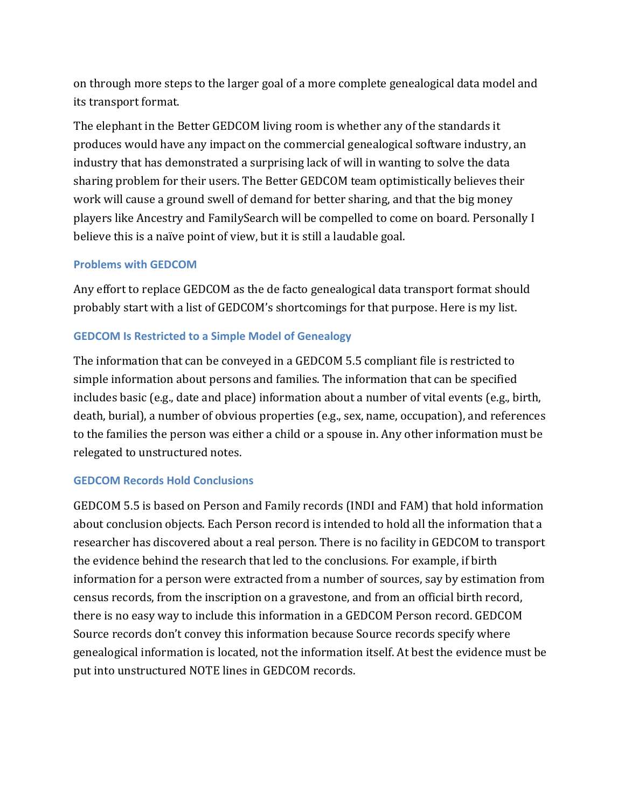on through more steps to the larger goal of a more complete genealogical data model and its transport format.

The elephant in the Better GEDCOM living room is whether any of the standards it" produces would have any impact on the commercial genealogical software industry, an industry that has demonstrated a surprising lack of will in wanting to solve the data sharing problem for their users. The Better GEDCOM team optimistically believes their work will cause a ground swell of demand for better sharing, and that the big money" players like Ancestry and FamilySearch will be compelled to come on board. Personally I believe this is a naïve point of view, but it is still a laudable goal.

# **Problems with GEDCOM**

Any effort to replace GEDCOM as the de facto genealogical data transport format should probably start with a list of GEDCOM's shortcomings for that purpose. Here is my list.

# **GEDCOM Is Restricted to a Simple Model of Genealogy**

The information that can be conveyed in a GEDCOM 5.5 compliant file is restricted to simple information about persons and families. The information that can be specified includes basic (e.g., date and place) information about a number of vital events (e.g., birth, death, burial), a number of obvious properties (e.g., sex, name, occupation), and references to the families the person was either a child or a spouse in. Any other information must be relegated to unstructured notes.

### **GEDCOM Records Hold Conclusions**

GEDCOM 5.5 is based on Person and Family records (INDI and FAM) that hold information about conclusion objects. Each Person record is intended to hold all the information that a researcher has discovered about a real person. There is no facility in GEDCOM to transport the evidence behind the research that led to the conclusions. For example, if birth information for a person were extracted from a number of sources, say by estimation from census records, from the inscription on a gravestone, and from an official birth record, there is no easy way to include this information in a GEDCOM Person record. GEDCOM Source records don't convey this information because Source records specify where genealogical information is located, not the information itself. At best the evidence must be put into unstructured NOTE lines in GEDCOM records.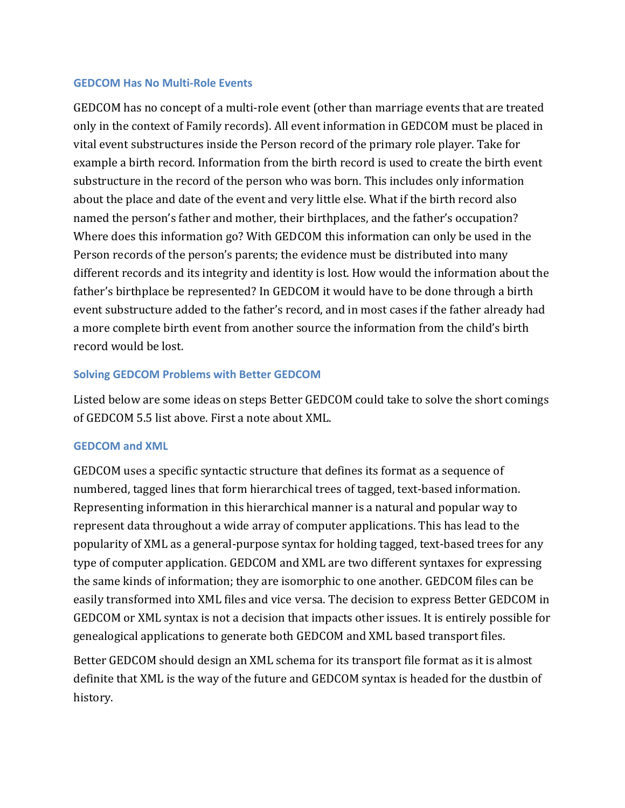#### **GEDCOM Has No Multi-Role Events**

GEDCOM has no concept of a multi-role event (other than marriage events that are treated only in the context of Family records). All event information in GEDCOM must be placed in vital event substructures inside the Person record of the primary role player. Take for example a birth record. Information from the birth record is used to create the birth event substructure in the record of the person who was born. This includes only information about the place and date of the event and very little else. What if the birth record also named the person's father and mother, their birthplaces, and the father's occupation? Where does this information go? With GEDCOM this information can only be used in the Person records of the person's parents; the evidence must be distributed into many different records and its integrity and identity is lost. How would the information about the father's birthplace be represented? In GEDCOM it would have to be done through a birth event substructure added to the father's record, and in most cases if the father already had a more complete birth event from another source the information from the child's birth record would be lost.

### **Solving GEDCOM Problems with Better GEDCOM**

Listed below are some ideas on steps Better GEDCOM could take to solve the short comings of GEDCOM 5.5 list above. First a note about XML.

### **GEDCOM and XML**

GEDCOM uses a specific syntactic structure that defines its format as a sequence of numbered, tagged lines that form hierarchical trees of tagged, text-based information. Representing information in this hierarchical manner is a natural and popular way to represent data throughout a wide array of computer applications. This has lead to the popularity of XML as a general-purpose syntax for holding tagged, text-based trees for any type of computer application. GEDCOM and XML are two different syntaxes for expressing the same kinds of information; they are isomorphic to one another. GEDCOM files can be easily transformed into XML files and vice versa. The decision to express Better GEDCOM in GEDCOM or XML syntax is not a decision that impacts other issues. It is entirely possible for genealogical applications to generate both GEDCOM and XML based transport files.

Better GEDCOM should design an XML schema for its transport file format as it is almost definite that XML is the way of the future and GEDCOM syntax is headed for the dustbin of history.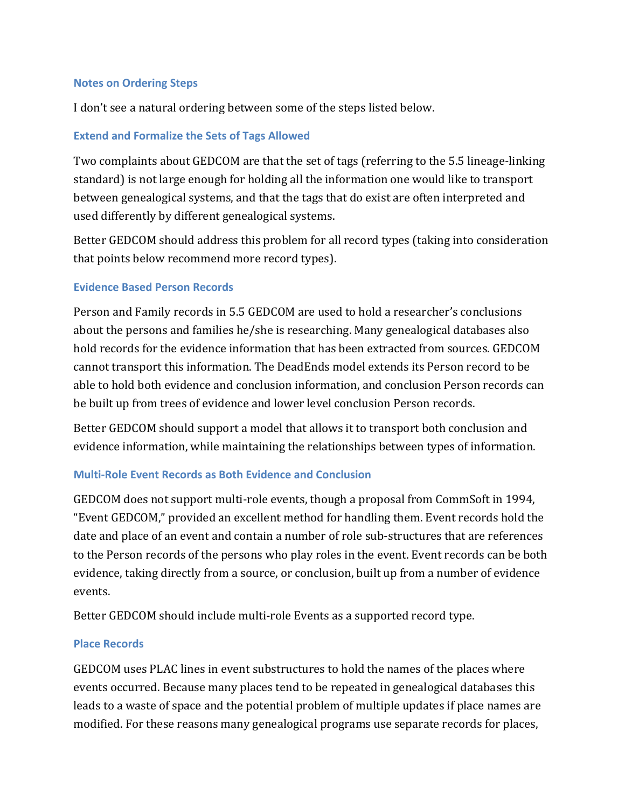### **Notes on Ordering Steps**

I don't see a natural ordering between some of the steps listed below.

## **Extend and Formalize the Sets of Tags Allowed**

Two complaints about GEDCOM are that the set of tags (referring to the 5.5 lineage-linking") standard) is not large enough for holding all the information one would like to transport between genealogical systems, and that the tags that do exist are often interpreted and used differently by different genealogical systems.

Better GEDCOM should address this problem for all record types (taking into consideration that points below recommend more record types).

### **Evidence Based Person Records**

Person and Family records in 5.5 GEDCOM are used to hold a researcher's conclusions about the persons and families he/she is researching. Many genealogical databases also hold records for the evidence information that has been extracted from sources. GEDCOM cannot transport this information. The DeadEnds model extends its Person record to be able to hold both evidence and conclusion information, and conclusion Person records can be built up from trees of evidence and lower level conclusion Person records.

Better GEDCOM should support a model that allows it to transport both conclusion and evidence information, while maintaining the relationships between types of information.

# **Multi-Role Event Records as Both Evidence and Conclusion**

GEDCOM does not support multi-role events, though a proposal from CommSoft in 1994, "Event GEDCOM," provided an excellent method for handling them. Event records hold the date and place of an event and contain a number of role sub-structures that are references to the Person records of the persons who play roles in the event. Event records can be both evidence, taking directly from a source, or conclusion, built up from a number of evidence events.

Better GEDCOM should include multi-role Events as a supported record type.

### **Place Records**

GEDCOM uses PLAC lines in event substructures to hold the names of the places where events occurred. Because many places tend to be repeated in genealogical databases this leads to a waste of space and the potential problem of multiple updates if place names are modified. For these reasons many genealogical programs use separate records for places,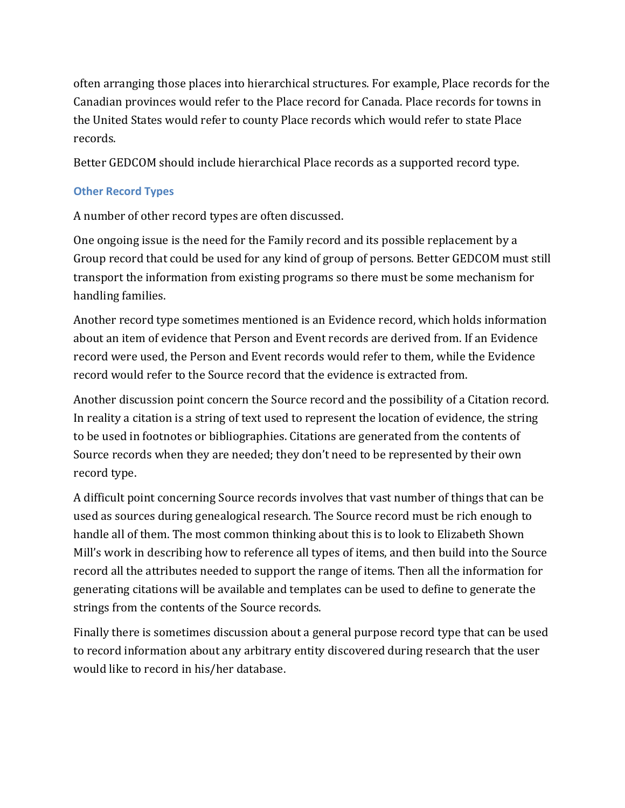often arranging those places into hierarchical structures. For example, Place records for the Canadian provinces would refer to the Place record for Canada. Place records for towns in the United States would refer to county Place records which would refer to state Place records.

Better GEDCOM should include hierarchical Place records as a supported record type.

# **Other Record Types**

A number of other record types are often discussed.

One ongoing issue is the need for the Family record and its possible replacement by a Group record that could be used for any kind of group of persons. Better GEDCOM must still transport the information from existing programs so there must be some mechanism for handling families.

Another record type sometimes mentioned is an Evidence record, which holds information about an item of evidence that Person and Event records are derived from. If an Evidence record were used, the Person and Event records would refer to them, while the Evidence record would refer to the Source record that the evidence is extracted from.

Another discussion point concern the Source record and the possibility of a Citation record. In reality a citation is a string of text used to represent the location of evidence, the string to be used in footnotes or bibliographies. Citations are generated from the contents of Source records when they are needed; they don't need to be represented by their own record type.

A difficult point concerning Source records involves that vast number of things that can be used as sources during genealogical research. The Source record must be rich enough to handle all of them. The most common thinking about this is to look to Elizabeth Shown Mill's work in describing how to reference all types of items, and then build into the Source record all the attributes needed to support the range of items. Then all the information for generating citations will be available and templates can be used to define to generate the strings from the contents of the Source records.

Finally there is sometimes discussion about a general purpose record type that can be used to record information about any arbitrary entity discovered during research that the user would like to record in his/her database.